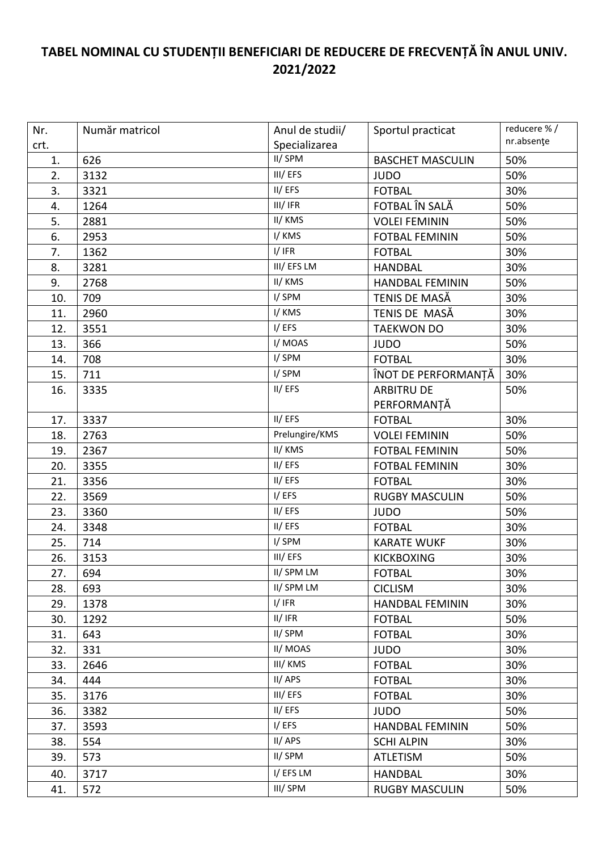## **TABEL NOMINAL CU STUDENȚII BENEFICIARI DE REDUCERE DE FRECVENȚĂ ÎN ANUL UNIV. 2021/2022**

| Nr.  | Număr matricol | Anul de studii/ | Sportul practicat       | reducere %/ |
|------|----------------|-----------------|-------------------------|-------------|
| crt. |                | Specializarea   |                         | nr.absențe  |
| 1.   | 626            | II/SPM          | <b>BASCHET MASCULIN</b> | 50%         |
| 2.   | 3132           | III/EFS         | <b>JUDO</b>             | 50%         |
| 3.   | 3321           | II/EFS          | <b>FOTBAL</b>           | 30%         |
| 4.   | 1264           | III/IFR         | FOTBAL ÎN SALĂ          | 50%         |
| 5.   | 2881           | II/ KMS         | <b>VOLEI FEMININ</b>    | 50%         |
| 6.   | 2953           | I/KMS           | <b>FOTBAL FEMININ</b>   | 50%         |
| 7.   | 1362           | I/IFR           | <b>FOTBAL</b>           | 30%         |
| 8.   | 3281           | III/EFS LM      | <b>HANDBAL</b>          | 30%         |
| 9.   | 2768           | II/KMS          | <b>HANDBAL FEMININ</b>  | 50%         |
| 10.  | 709            | I/SPM           | TENIS DE MASĂ           | 30%         |
| 11.  | 2960           | I/KMS           | TENIS DE MASĂ           | 30%         |
| 12.  | 3551           | I/EFS           | <b>TAEKWON DO</b>       | 30%         |
| 13.  | 366            | I/MOAS          | <b>JUDO</b>             | 50%         |
| 14.  | 708            | I/SPM           | <b>FOTBAL</b>           | 30%         |
| 15.  | 711            | I/SPM           | ÎNOT DE PERFORMANTĂ     | 30%         |
| 16.  | 3335           | II/EFS          | <b>ARBITRU DE</b>       | 50%         |
|      |                |                 | PERFORMANȚĂ             |             |
| 17.  | 3337           | II/EFS          | <b>FOTBAL</b>           | 30%         |
| 18.  | 2763           | Prelungire/KMS  | <b>VOLEI FEMININ</b>    | 50%         |
| 19.  | 2367           | II/KMS          | <b>FOTBAL FEMININ</b>   | 50%         |
| 20.  | 3355           | II/EFS          | <b>FOTBAL FEMININ</b>   | 30%         |
| 21.  | 3356           | II/EFS          | <b>FOTBAL</b>           | 30%         |
| 22.  | 3569           | I/EFS           | <b>RUGBY MASCULIN</b>   | 50%         |
| 23.  | 3360           | II/EFS          | <b>JUDO</b>             | 50%         |
| 24.  | 3348           | II/EFS          | <b>FOTBAL</b>           | 30%         |
| 25.  | 714            | I/SPM           | <b>KARATE WUKF</b>      | 30%         |
| 26.  | 3153           | III/EFS         | <b>KICKBOXING</b>       | 30%         |
| 27.  | 694            | II/SPM LM       | <b>FOTBAL</b>           | 30%         |
| 28.  | 693            | II/ SPM LM      | <b>CICLISM</b>          | 30%         |
| 29.  | 1378           | I/IFR           | <b>HANDBAL FEMININ</b>  | 30%         |
| 30.  | 1292           | II/IFR          | <b>FOTBAL</b>           | 50%         |
| 31.  | 643            | II/SPM          | <b>FOTBAL</b>           | 30%         |
| 32.  | 331            | II/ MOAS        | <b>JUDO</b>             | 30%         |
| 33.  | 2646           | III/ KMS        | <b>FOTBAL</b>           | 30%         |
| 34.  | 444            | II/APS          | <b>FOTBAL</b>           | 30%         |
| 35.  | 3176           | III/EFS         | <b>FOTBAL</b>           | 30%         |
| 36.  | 3382           | II/EFS          | <b>JUDO</b>             | 50%         |
| 37.  | 3593           | I/EFS           | <b>HANDBAL FEMININ</b>  | 50%         |
| 38.  | 554            | II/APS          | <b>SCHI ALPIN</b>       | 30%         |
| 39.  | 573            | II/SPM          | <b>ATLETISM</b>         | 50%         |
| 40.  | 3717           | I/EFSLM         | <b>HANDBAL</b>          | 30%         |
| 41.  | 572            | III/ SPM        | <b>RUGBY MASCULIN</b>   | 50%         |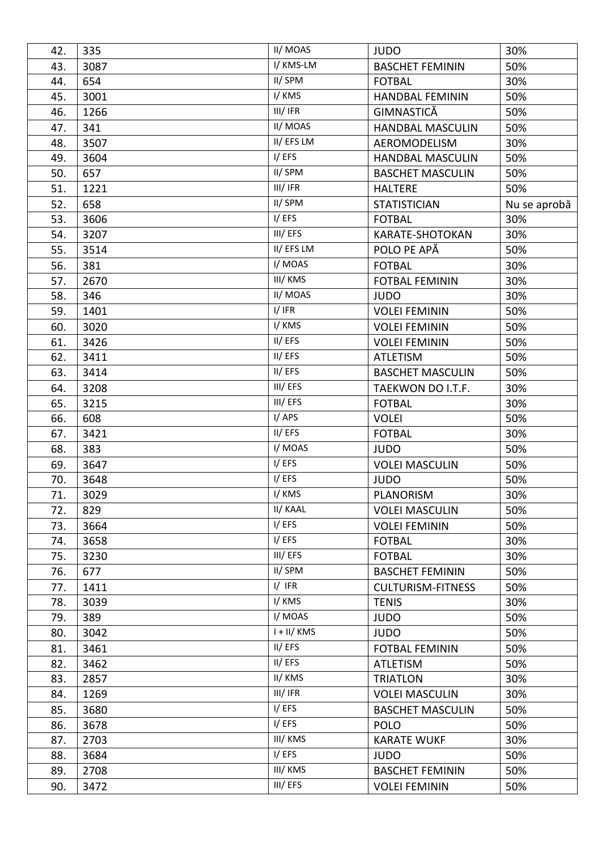| 42. | 335  | II/ MOAS     | <b>JUDO</b>              | 30%          |
|-----|------|--------------|--------------------------|--------------|
| 43. | 3087 | I/ KMS-LM    | <b>BASCHET FEMININ</b>   | 50%          |
| 44. | 654  | II/SPM       | <b>FOTBAL</b>            | 30%          |
| 45. | 3001 | I/KMS        | <b>HANDBAL FEMININ</b>   | 50%          |
| 46. | 1266 | III/IFR      | GIMNASTICĂ               | 50%          |
| 47. | 341  | II/MOAS      | <b>HANDBAL MASCULIN</b>  | 50%          |
| 48. | 3507 | II/EFSLM     | AEROMODELISM             | 30%          |
| 49. | 3604 | I/EFS        | <b>HANDBAL MASCULIN</b>  | 50%          |
| 50. | 657  | II/SPM       | <b>BASCHET MASCULIN</b>  | 50%          |
| 51. | 1221 | III/IFR      | <b>HALTERE</b>           | 50%          |
| 52. | 658  | II/SPM       | <b>STATISTICIAN</b>      | Nu se aprobă |
| 53. | 3606 | I/EFS        | <b>FOTBAL</b>            | 30%          |
| 54. | 3207 | III/EFS      | KARATE-SHOTOKAN          | 30%          |
| 55. | 3514 | II/EFSLM     | POLO PE APĂ              | 50%          |
| 56. | 381  | I/MOAS       | <b>FOTBAL</b>            | 30%          |
| 57. | 2670 | III/ KMS     | <b>FOTBAL FEMININ</b>    | 30%          |
| 58. | 346  | II/ MOAS     | <b>JUDO</b>              | 30%          |
| 59. | 1401 | I/IFR        | <b>VOLEI FEMININ</b>     | 50%          |
| 60. | 3020 | I/KMS        | <b>VOLEI FEMININ</b>     | 50%          |
| 61. | 3426 | II/EFS       | <b>VOLEI FEMININ</b>     | 50%          |
| 62. | 3411 | II/EFS       | <b>ATLETISM</b>          | 50%          |
| 63. | 3414 | II/EFS       | <b>BASCHET MASCULIN</b>  | 50%          |
| 64. | 3208 | III/EFS      | TAEKWON DO I.T.F.        | 30%          |
| 65. | 3215 | III/EFS      | <b>FOTBAL</b>            | 30%          |
| 66. | 608  | I/APS        | <b>VOLEI</b>             | 50%          |
| 67. | 3421 | II/EFS       | <b>FOTBAL</b>            | 30%          |
| 68. | 383  | I/MOAS       | <b>JUDO</b>              | 50%          |
| 69. | 3647 | I/EFS        | <b>VOLEI MASCULIN</b>    | 50%          |
| 70. | 3648 | I/EFS        | <b>JUDO</b>              | 50%          |
| 71. | 3029 | I/ KMS       | PLANORISM                | 30%          |
| 72. | 829  | II/ KAAL     | <b>VOLEI MASCULIN</b>    | 50%          |
| 73. | 3664 | I/EFS        | <b>VOLEI FEMININ</b>     | 50%          |
| 74. | 3658 | I/EFS        | <b>FOTBAL</b>            | 30%          |
| 75. | 3230 | III/EFS      | <b>FOTBAL</b>            | 30%          |
| 76. | 677  | II/SPM       | <b>BASCHET FEMININ</b>   | 50%          |
| 77. | 1411 | I/IFR        | <b>CULTURISM-FITNESS</b> | 50%          |
| 78. | 3039 | I/KMS        | <b>TENIS</b>             | 30%          |
| 79. | 389  | I/MOAS       | <b>JUDO</b>              | 50%          |
| 80. | 3042 | $I + II/KMS$ | <b>JUDO</b>              | 50%          |
| 81. | 3461 | II/EFS       | <b>FOTBAL FEMININ</b>    | 50%          |
| 82. | 3462 | II/EFS       | <b>ATLETISM</b>          | 50%          |
| 83. | 2857 | II/ KMS      | <b>TRIATLON</b>          | 30%          |
| 84. | 1269 | III/IFR      | <b>VOLEI MASCULIN</b>    | 30%          |
| 85. | 3680 | I/EFS        | <b>BASCHET MASCULIN</b>  | 50%          |
| 86. | 3678 | I/EFS        | <b>POLO</b>              | 50%          |
| 87. | 2703 | III/ KMS     | <b>KARATE WUKF</b>       | 30%          |
| 88. | 3684 | I/EFS        | <b>JUDO</b>              | 50%          |
| 89. | 2708 | III/ KMS     | <b>BASCHET FEMININ</b>   | 50%          |
| 90. | 3472 | III/EFS      | <b>VOLEI FEMININ</b>     | 50%          |